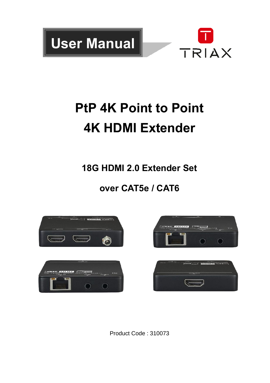

# **PtP 4K Point to Point 4K HDMI Extender**

**18G HDMI 2.0 Extender Set**

# **over CAT5e / CAT6**





Product Code : 310073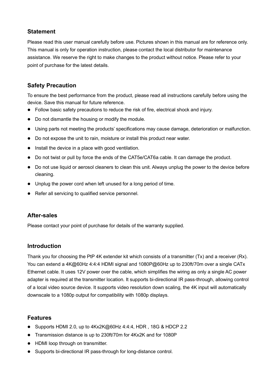## **Statement**

Please read this user manual carefully before use. Pictures shown in this manual are for reference only. This manual is only for operation instruction, please contact the local distributor for maintenance assistance. We reserve the right to make changes to the product without notice. Please refer to your point of purchase for the latest details.

# **Safety Precaution**

To ensure the best performance from the product, please read all instructions carefully before using the device. Save this manual for future reference.

- ⚫ Follow basic safety precautions to reduce the risk of fire, electrical shock and injury.
- Do not dismantle the housing or modify the module.
- ⚫ Using parts not meeting the products' specifications may cause damage, deterioration or malfunction.
- Do not expose the unit to rain, moisture or install this product near water.
- Install the device in a place with good ventilation
- Do not twist or pull by force the ends of the CAT5e/CAT6a cable. It can damage the product.
- Do not use liquid or aerosol cleaners to clean this unit. Always unplug the power to the device before cleaning.
- ⚫ Unplug the power cord when left unused for a long period of time.
- Refer all servicing to qualified service personnel.

### **After-sales**

Please contact your point of purchase for details of the warranty supplied.

#### **Introduction**

Thank you for choosing the PtP 4K extender kit which consists of a transmitter (Tx) and a receiver (Rx). You can extend a 4K@60Hz 4:4:4 HDMI signal and 1080P@60Hz up to 230ft/70m over a single CATx Ethernet cable. It uses 12V power over the cable, which simplifies the wiring as only a single AC power adapter is required at the transmitter location. It supports bi-directional IR pass-through, allowing control of a local video source device. It supports video resolution down scaling, the 4K input will automatically downscale to a 1080p output for compatibility with 1080p displays.

#### **Features**

- Supports HDMI 2.0, up to 4Kx2K@60Hz 4:4:4, HDR, 18G & HDCP 2.2
- ⚫ Transmission distance is up to 230ft/70m for 4Kx2K and for 1080P
- HDMI loop through on transmitter.
- Supports bi-directional IR pass-through for long-distance control.